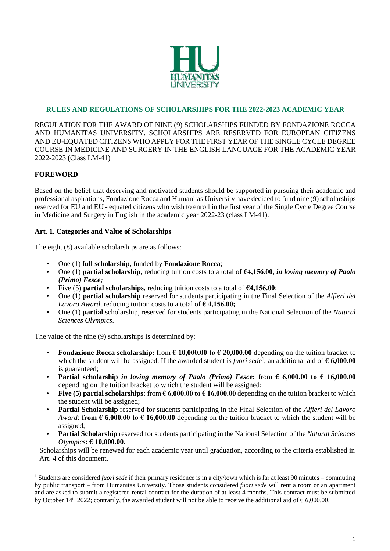

## **RULES AND REGULATIONS OF SCHOLARSHIPS FOR THE 2022-2023 ACADEMIC YEAR**

REGULATION FOR THE AWARD OF NINE (9) SCHOLARSHIPS FUNDED BY FONDAZIONE ROCCA AND HUMANITAS UNIVERSITY. SCHOLARSHIPS ARE RESERVED FOR EUROPEAN CITIZENS AND EU-EQUATED CITIZENS WHO APPLY FOR THE FIRST YEAR OF THE SINGLE CYCLE DEGREE COURSE IN MEDICINE AND SURGERY IN THE ENGLISH LANGUAGE FOR THE ACADEMIC YEAR 2022-2023 (Class LM-41)

### **FOREWORD**

 $\overline{a}$ 

Based on the belief that deserving and motivated students should be supported in pursuing their academic and professional aspirations, Fondazione Rocca and Humanitas University have decided to fund nine (9) scholarships reserved for EU and EU - equated citizens who wish to enroll in the first year of the Single Cycle Degree Course in Medicine and Surgery in English in the academic year 2022-23 (class LM-41).

#### **Art. 1. Categories and Value of Scholarships**

The eight (8) available scholarships are as follows:

- One (1) **full scholarship**, funded by **Fondazione Rocca**;
- One (1) **partial scholarship**, reducing tuition costs to a total of **€4,156.00**, *in loving memory of Paolo (Primo) Fesce;*
- Five (5) **partial scholarships**, reducing tuition costs to a total of **€4,156.00**;
- One (1) **partial scholarship** reserved for students participating in the Final Selection of the *Alfieri del Lavoro Award*, reducing tuition costs to a total of **€ 4,156.00;**
- One (1) **partial** scholarship, reserved for students participating in the National Selection of the *Natural Sciences Olympics*.

The value of the nine (9) scholarships is determined by:

- **Fondazione Rocca scholarship:** from  $\epsilon$  10,000.00 to  $\epsilon$  20,000.00 depending on the tuition bracket to which the student will be assigned. If the awarded student is *fuori sede*<sup>1</sup>, an additional aid of  $\epsilon$  **6,000.00** is guaranteed;
- **Partial scholarship** *in loving memory of Paolo (Primo) Fesce***: from**  $\epsilon$  **6,000.00 to**  $\epsilon$  **16,000.00** depending on the tuition bracket to which the student will be assigned;
- **Five (5) partial scholarships:** from  $\epsilon$  6,000.00 to  $\epsilon$  16,000.00 depending on the tuition bracket to which the student will be assigned;
- **Partial Scholarship** reserved for students participating in the Final Selection of the *Alfieri del Lavoro Award*: **from**  $\epsilon$  **6,000.00 to**  $\epsilon$  **16,000.00** depending on the tuition bracket to which the student will be assigned;
- **Partial Scholarship** reserved for students participating in the National Selection of the *Natural Sciences Olympics*: **€ 10,000.00**.

Scholarships will be renewed for each academic year until graduation, according to the criteria established in Art. 4 of this document.

<sup>1</sup> Students are considered *fuori sede* if their primary residence is in a city/town which is far at least 90 minutes – commuting by public transport – from Humanitas University. Those students considered *fuori sede* will rent a room or an apartment and are asked to submit a registered rental contract for the duration of at least 4 months. This contract must be submitted by October 14<sup>th</sup> 2022; contrarily, the awarded student will not be able to receive the additional aid of  $\epsilon$  6,000.00.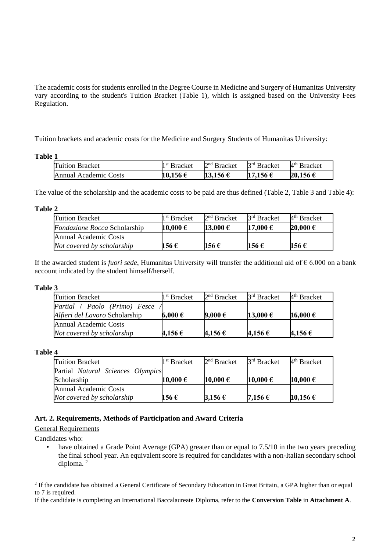The academic costs for students enrolled in the Degree Course in Medicine and Surgery of Humanitas University vary according to the student's Tuition Bracket (Table 1), which is assigned based on the University Fees Regulation.

Tuition brackets and academic costs for the Medicine and Surgery Students of Humanitas University:

#### **Table 1**

| <b>Tuition Bracket</b> | 1 <sup>st</sup> Bracket | $2nd$ Bracket | 3 <sup>rd</sup> Bracket | $4th$ Bracket |
|------------------------|-------------------------|---------------|-------------------------|---------------|
| Annual Academic Costs  | 10,156€                 | 13,156 €      | 17,156 €                | 20,156 €      |

The value of the scholarship and the academic costs to be paid are thus defined (Table 2, Table 3 and Table 4):

**Table 2**

| <b>Tuition Bracket</b>              | 1 <sup>st</sup> Bracket | $2nd$ Bracket | 3 <sup>rd</sup> Bracket | 4 <sup>th</sup> Bracket |
|-------------------------------------|-------------------------|---------------|-------------------------|-------------------------|
| <i>Fondazione Rocca</i> Scholarship | 10,000€                 | 13,000 €      | 17,000 €                | 20,000 €                |
| Annual Academic Costs               |                         |               |                         |                         |
| Not covered by scholarship          | 156 €                   | 156€          | 156 €                   | 156€                    |

If the awarded student is *fuori sede*, Humanitas University will transfer the additional aid of € 6.000 on a bank account indicated by the student himself/herself.

#### **Table 3**

| <b>Tuition Bracket</b>         | 1 <sup>st</sup> Bracket | $2nd$ Bracket | 3 <sup>rd</sup> Bracket | $4th$ Bracket |
|--------------------------------|-------------------------|---------------|-------------------------|---------------|
| Partial / Paolo (Primo) Fesce  |                         |               |                         |               |
| Alfieri del Lavoro Scholarship | $6,000 \in$             | 9,000 €       | 13,000 €                | 16,000 €      |
| <b>Annual Academic Costs</b>   |                         |               |                         |               |
| Not covered by scholarship     | 4,156 €                 | 4,156 €       | 4,156 €                 | 4,156 €       |

**Table 4**

| <b>Tuition Bracket</b>            | 1 <sup>st</sup> Bracket | $2nd$ Bracket | 3 <sup>rd</sup> Bracket | $4th$ Bracket |
|-----------------------------------|-------------------------|---------------|-------------------------|---------------|
| Partial Natural Sciences Olympics |                         |               |                         |               |
| Scholarship                       | 10,000 $\epsilon$       | 10,000 €      | 10,000€                 | 10,000 €      |
| <b>Annual Academic Costs</b>      |                         |               |                         |               |
| Not covered by scholarship        | 156 €                   | 3,156 €       | 7,156 $\epsilon$        | 10,156 €      |

### **Art. 2. Requirements, Methods of Participation and Award Criteria**

### General Requirements

Candidates who:

 $\overline{a}$ 

have obtained a Grade Point Average (GPA) greater than or equal to 7.5/10 in the two years preceding the final school year. An equivalent score is required for candidates with a non-Italian secondary school diploma. <sup>2</sup>

<sup>&</sup>lt;sup>2</sup> If the candidate has obtained a General Certificate of Secondary Education in Great Britain, a GPA higher than or equal to 7 is required.

If the candidate is completing an International Baccalaureate Diploma, refer to the **Conversion Table** in **Attachment A**.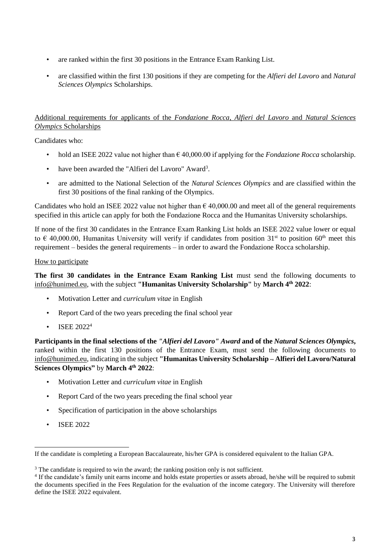- are ranked within the first 30 positions in the Entrance Exam Ranking List.
- are classified within the first 130 positions if they are competing for the *Alfieri del Lavoro* and *Natural Sciences Olympics* Scholarships.

# Additional requirements for applicants of the *Fondazione Rocca*, *Alfieri del Lavoro* and *Natural Sciences Olympics* Scholarships

Candidates who:

- hold an ISEE 2022 value not higher than  $\epsilon$  40,000.00 if applying for the *Fondazione Rocca* scholarship.
- have been awarded the "Alfieri del Lavoro" Award<sup>3</sup>.
- are admitted to the National Selection of the *Natural Sciences Olympics* and are classified within the first 30 positions of the final ranking of the Olympics.

Candidates who hold an ISEE 2022 value not higher than  $\epsilon$  40,000.00 and meet all of the general requirements specified in this article can apply for both the Fondazione Rocca and the Humanitas University scholarships.

If none of the first 30 candidates in the Entrance Exam Ranking List holds an ISEE 2022 value lower or equal to  $\epsilon$  40,000.00, Humanitas University will verify if candidates from position 31<sup>st</sup> to position 60<sup>th</sup> meet this requirement – besides the general requirements – in order to award the Fondazione Rocca scholarship.

### How to participate

**The first 30 candidates in the Entrance Exam Ranking List** must send the following documents to info@hunimed.eu, with the subject **"Humanitas University Scholarship"** by **March 4th 2022**:

- Motivation Letter and *curriculum vitae* in English
- Report Card of the two years preceding the final school year
- ISEE 2022<sup>4</sup>

**Participants in the final selections of the** *"Alfieri del Lavoro" Award* **and of the** *Natural Sciences Olympics***,**  ranked within the first 130 positions of the Entrance Exam, must send the following documents to info@hunimed.eu, indicating in the subject **"Humanitas University Scholarship – Alfieri del Lavoro/Natural Sciences Olympics"** by **March 4th 2022**:

- Motivation Letter and *curriculum vitae* in English
- Report Card of the two years preceding the final school year
- Specification of participation in the above scholarships
- ISEE 2022

 $\overline{a}$ 

If the candidate is completing a European Baccalaureate, his/her GPA is considered equivalent to the Italian GPA.

<sup>&</sup>lt;sup>3</sup> The candidate is required to win the award; the ranking position only is not sufficient.

<sup>4</sup> If the candidate's family unit earns income and holds estate properties or assets abroad, he/she will be required to submit the documents specified in the Fees Regulation for the evaluation of the income category. The University will therefore define the ISEE 2022 equivalent.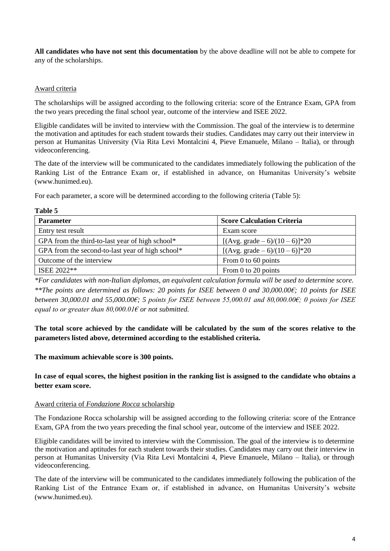**All candidates who have not sent this documentation** by the above deadline will not be able to compete for any of the scholarships.

### Award criteria

**Table 5**

The scholarships will be assigned according to the following criteria: score of the Entrance Exam, GPA from the two years preceding the final school year, outcome of the interview and ISEE 2022.

Eligible candidates will be invited to interview with the Commission. The goal of the interview is to determine the motivation and aptitudes for each student towards their studies. Candidates may carry out their interview in person at Humanitas University (Via Rita Levi Montalcini 4, Pieve Emanuele, Milano – Italia), or through videoconferencing.

The date of the interview will be communicated to the candidates immediately following the publication of the Ranking List of the Entrance Exam or, if established in advance, on Humanitas University's website (www.hunimed.eu).

For each parameter, a score will be determined according to the following criteria (Table 5):

| <b>Parameter</b>                                 | <b>Score Calculation Criteria</b>  |
|--------------------------------------------------|------------------------------------|
| Entry test result                                | Exam score                         |
| GPA from the third-to-last year of high school*  | [(Avg. grade $-6$ )/(10 $-6$ )]*20 |
| GPA from the second-to-last year of high school* | [ $(Avg. grade - 6)/(10 - 6)$ ]*20 |
| Outcome of the interview                         | From 0 to 60 points                |
| ISEE 2022**                                      | From 0 to 20 points                |

*\*For candidates with non-Italian diplomas, an equivalent calculation formula will be used to determine score. \*\*The points are determined as follows: 20 points for ISEE between 0 and 30,000.00€; 10 points for ISEE between 30,000.01 and 55,000.00€; 5 points for ISEE between 55,000.01 and 80,000.00€; 0 points for ISEE equal to or greater than 80,000.01€ or not submitted.*

**The total score achieved by the candidate will be calculated by the sum of the scores relative to the parameters listed above, determined according to the established criteria.**

### **The maximum achievable score is 300 points.**

**In case of equal scores, the highest position in the ranking list is assigned to the candidate who obtains a better exam score.**

#### Award criteria of *Fondazione Rocca* scholarship

The Fondazione Rocca scholarship will be assigned according to the following criteria: score of the Entrance Exam, GPA from the two years preceding the final school year, outcome of the interview and ISEE 2022.

Eligible candidates will be invited to interview with the Commission. The goal of the interview is to determine the motivation and aptitudes for each student towards their studies. Candidates may carry out their interview in person at Humanitas University (Via Rita Levi Montalcini 4, Pieve Emanuele, Milano – Italia), or through videoconferencing.

The date of the interview will be communicated to the candidates immediately following the publication of the Ranking List of the Entrance Exam or, if established in advance, on Humanitas University's website (www.hunimed.eu).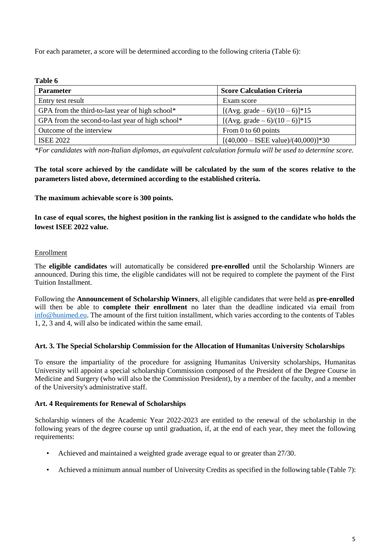For each parameter, a score will be determined according to the following criteria (Table 6):

#### **Table 6**

| <b>Parameter</b>                                 | <b>Score Calculation Criteria</b>            |
|--------------------------------------------------|----------------------------------------------|
| Entry test result                                | Exam score                                   |
| GPA from the third-to-last year of high school*  | [ $(Avg. grade - 6)/(10 - 6)$ ]*15           |
| GPA from the second-to-last year of high school* | [ $(Avg. grade - 6)/(10 - 6)$ ]*15           |
| Outcome of the interview                         | From 0 to 60 points                          |
| <b>ISEE 2022</b>                                 | $[(40,000 - \text{ISEE value})/(40,000)]*30$ |

*\*For candidates with non-Italian diplomas, an equivalent calculation formula will be used to determine score.* 

# **The total score achieved by the candidate will be calculated by the sum of the scores relative to the parameters listed above, determined according to the established criteria.**

#### **The maximum achievable score is 300 points.**

**In case of equal scores, the highest position in the ranking list is assigned to the candidate who holds the lowest ISEE 2022 value.**

### **Enrollment**

The **eligible candidates** will automatically be considered **pre-enrolled** until the Scholarship Winners are announced. During this time, the eligible candidates will not be required to complete the payment of the First Tuition Installment.

Following the **Announcement of Scholarship Winners**, all eligible candidates that were held as **pre-enrolled** will then be able to **complete their enrollment** no later than the deadline indicated via email from [info@hunimed.eu.](mailto:info@hunimed.eu) The amount of the first tuition installment, which varies according to the contents of Tables 1, 2, 3 and 4, will also be indicated within the same email.

#### **Art. 3. The Special Scholarship Commission for the Allocation of Humanitas University Scholarships**

To ensure the impartiality of the procedure for assigning Humanitas University scholarships, Humanitas University will appoint a special scholarship Commission composed of the President of the Degree Course in Medicine and Surgery (who will also be the Commission President), by a member of the faculty, and a member of the University's administrative staff.

### **Art. 4 Requirements for Renewal of Scholarships**

Scholarship winners of the Academic Year 2022-2023 are entitled to the renewal of the scholarship in the following years of the degree course up until graduation, if, at the end of each year, they meet the following requirements:

- Achieved and maintained a weighted grade average equal to or greater than 27/30.
- Achieved a minimum annual number of University Credits as specified in the following table (Table 7):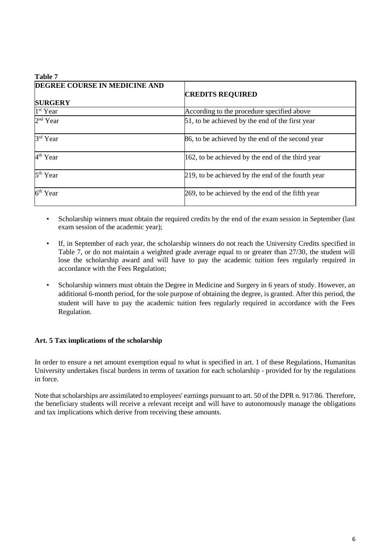| Table 7                       |                                                   |  |  |  |
|-------------------------------|---------------------------------------------------|--|--|--|
| DEGREE COURSE IN MEDICINE AND | <b>CREDITS REQUIRED</b>                           |  |  |  |
| <b>SURGERY</b>                |                                                   |  |  |  |
| 1 <sup>st</sup> Year          | According to the procedure specified above        |  |  |  |
| 2 <sup>nd</sup> Year          | 51, to be achieved by the end of the first year   |  |  |  |
| 3rd Year                      | 86, to be achieved by the end of the second year  |  |  |  |
| 4 <sup>th</sup> Year          | 162, to be achieved by the end of the third year  |  |  |  |
| 5 <sup>th</sup> Year          | 219, to be achieved by the end of the fourth year |  |  |  |
| 6 <sup>th</sup> Year          | 269, to be achieved by the end of the fifth year  |  |  |  |

- Scholarship winners must obtain the required credits by the end of the exam session in September (last exam session of the academic year);
- If, in September of each year, the scholarship winners do not reach the University Credits specified in Table 7, or do not maintain a weighted grade average equal to or greater than 27/30, the student will lose the scholarship award and will have to pay the academic tuition fees regularly required in accordance with the Fees Regulation;
- Scholarship winners must obtain the Degree in Medicine and Surgery in 6 years of study. However, an additional 6-month period, for the sole purpose of obtaining the degree, is granted. After this period, the student will have to pay the academic tuition fees regularly required in accordance with the Fees Regulation.

### **Art. 5 Tax implications of the scholarship**

**Table 7** 

In order to ensure a net amount exemption equal to what is specified in art. 1 of these Regulations, Humanitas University undertakes fiscal burdens in terms of taxation for each scholarship - provided for by the regulations in force.

Note that scholarships are assimilated to employees' earnings pursuant to art. 50 of the DPR n. 917/86. Therefore, the beneficiary students will receive a relevant receipt and will have to autonomously manage the obligations and tax implications which derive from receiving these amounts.